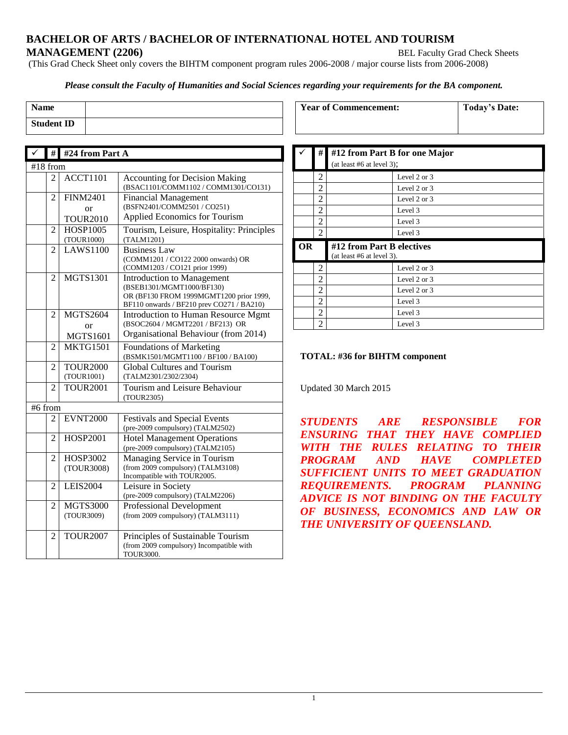#### **BACHELOR OF ARTS / BACHELOR OF INTERNATIONAL HOTEL AND TOURISM MANAGEMENT (2206)** BEL Faculty Grad Check Sheets

(This Grad Check Sheet only covers the BIHTM component program rules 2006-2008 / major course lists from 2006-2008)

#### *Please consult the Faculty of Humanities and Social Sciences regarding your requirements for the BA component.*

| Name              |  |
|-------------------|--|
| <b>Student ID</b> |  |

|         |                | # #24 from Part A |                                                                                                                                                        |  |  |
|---------|----------------|-------------------|--------------------------------------------------------------------------------------------------------------------------------------------------------|--|--|
|         | #18 from       |                   |                                                                                                                                                        |  |  |
|         | $\overline{2}$ | <b>ACCT1101</b>   | <b>Accounting for Decision Making</b><br>(BSAC1101/COMM1102 / COMM1301/CO131)                                                                          |  |  |
|         | $\overline{2}$ | <b>FINM2401</b>   | <b>Financial Management</b>                                                                                                                            |  |  |
|         |                | or                | (BSFN2401/COMM2501 / CO251)                                                                                                                            |  |  |
|         |                | <b>TOUR2010</b>   | <b>Applied Economics for Tourism</b>                                                                                                                   |  |  |
|         | $\overline{2}$ | <b>HOSP1005</b>   | Tourism, Leisure, Hospitality: Principles                                                                                                              |  |  |
|         |                | (TOUR1000)        | (TALM1201)                                                                                                                                             |  |  |
|         | $\overline{c}$ | <b>LAWS1100</b>   | <b>Business Law</b><br>(COMM1201 / CO122 2000 onwards) OR<br>(COMM1203 / CO121 prior 1999)                                                             |  |  |
|         | $\mathfrak{D}$ | <b>MGTS1301</b>   | <b>Introduction to Management</b><br>(BSEB1301/MGMT1000/BF130)<br>OR (BF130 FROM 1999MGMT1200 prior 1999,<br>BF110 onwards / BF210 prev CO271 / BA210) |  |  |
|         | 2              | <b>MGTS2604</b>   | <b>Introduction to Human Resource Mgmt</b>                                                                                                             |  |  |
|         |                | or                | (BSOC2604 / MGMT2201 / BF213) OR                                                                                                                       |  |  |
|         |                | <b>MGTS1601</b>   | Organisational Behaviour (from 2014)                                                                                                                   |  |  |
|         | 2              | <b>MKTG1501</b>   | <b>Foundations of Marketing</b><br>(BSMK1501/MGMT1100 / BF100 / BA100)                                                                                 |  |  |
|         | 2              | <b>TOUR2000</b>   | <b>Global Cultures and Tourism</b>                                                                                                                     |  |  |
|         |                | (TOUR1001)        | (TALM2301/2302/2304)                                                                                                                                   |  |  |
|         | $\overline{2}$ | <b>TOUR2001</b>   | Tourism and Leisure Behaviour<br>(TOUR2305)                                                                                                            |  |  |
| #6 from |                |                   |                                                                                                                                                        |  |  |
|         | 2              | <b>EVNT2000</b>   | <b>Festivals and Special Events</b><br>(pre-2009 compulsory) (TALM2502)                                                                                |  |  |
|         | $\overline{c}$ | <b>HOSP2001</b>   | <b>Hotel Management Operations</b><br>(pre-2009 compulsory) (TALM2105)                                                                                 |  |  |
|         | $\overline{2}$ | <b>HOSP3002</b>   | Managing Service in Tourism                                                                                                                            |  |  |
|         |                | (TOUR3008)        | (from 2009 compulsory) (TALM3108)<br>Incompatible with TOUR2005.                                                                                       |  |  |
|         | 2              | <b>LEIS2004</b>   | Leisure in Society<br>(pre-2009 compulsory) (TALM2206)                                                                                                 |  |  |
|         | 2              | <b>MGTS3000</b>   | <b>Professional Development</b>                                                                                                                        |  |  |
|         |                | (TOUR3009)        | (from 2009 compulsory) (TALM3111)                                                                                                                      |  |  |
|         | $\overline{2}$ | <b>TOUR2007</b>   | Principles of Sustainable Tourism                                                                                                                      |  |  |
|         |                |                   | (from 2009 compulsory) Incompatible with                                                                                                               |  |  |
|         |                |                   | TOUR3000.                                                                                                                                              |  |  |

|    | #              | #12 from Part B for one Major                            |                |
|----|----------------|----------------------------------------------------------|----------------|
|    |                | (at least #6 at level 3);                                |                |
|    | 2              |                                                          | Level 2 or 3   |
|    | 2              |                                                          | Level 2 or 3   |
|    | 2              |                                                          | Level 2 or 3   |
|    | 2              |                                                          | Level 3        |
|    | 2              |                                                          | Level 3        |
|    | 2              |                                                          | Level 3        |
|    |                |                                                          |                |
| OR |                | #12 from Part B electives<br>(at least $#6$ at level 3). |                |
|    | 2              |                                                          | Level 2 or 3   |
|    | 2              |                                                          | Level 2 or 3   |
|    | 2              |                                                          | Level 2 or $3$ |
|    | $\overline{c}$ |                                                          | Level 3        |
|    | 2              |                                                          | Level 3        |

**Year of Commencement: Today's Date:**

#### **TOTAL: #36 for BIHTM component**

Updated 30 March 2015

*STUDENTS ARE RESPONSIBLE FOR ENSURING THAT THEY HAVE COMPLIED WITH THE RULES RELATING TO THEIR PROGRAM AND HAVE COMPLETED SUFFICIENT UNITS TO MEET GRADUATION REQUIREMENTS. PROGRAM PLANNING ADVICE IS NOT BINDING ON THE FACULTY OF BUSINESS, ECONOMICS AND LAW OR THE UNIVERSITY OF QUEENSLAND.*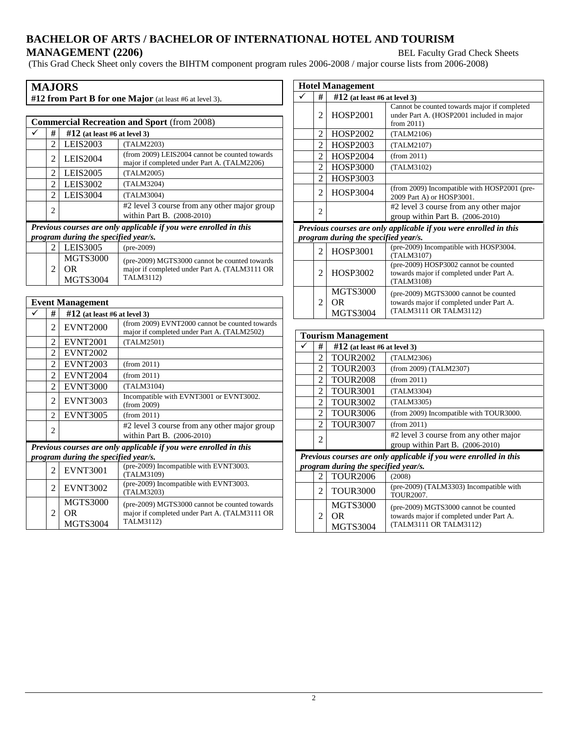# **BACHELOR OF ARTS / BACHELOR OF INTERNATIONAL HOTEL AND TOURISM MANAGEMENT (2206) BEL Faculty Grad Check Sheets**

(This Grad Check Sheet only covers the BIHTM component program rules 2006-2008 / major course lists from 2006-2008)

| <b>MAJORS</b>                                                                                             |                |                                           |                                                                                                             |  |
|-----------------------------------------------------------------------------------------------------------|----------------|-------------------------------------------|-------------------------------------------------------------------------------------------------------------|--|
| #12 from Part B for one Major (at least #6 at level 3).                                                   |                |                                           |                                                                                                             |  |
| <b>Commercial Recreation and Sport</b> (from 2008)                                                        |                |                                           |                                                                                                             |  |
|                                                                                                           | #              | $#12$ (at least #6 at level 3)            |                                                                                                             |  |
|                                                                                                           | $\mathfrak{D}$ | LEIS2003                                  | (TALM2203)                                                                                                  |  |
|                                                                                                           | 2              | <b>LEIS2004</b>                           | (from 2009) LEIS2004 cannot be counted towards<br>major if completed under Part A. (TALM2206)               |  |
|                                                                                                           | 2              | LEIS2005                                  | (TALM2005)                                                                                                  |  |
|                                                                                                           | 2              | LEIS3002                                  | (TALM3204)                                                                                                  |  |
|                                                                                                           | 2              | <b>LEIS3004</b>                           | (TALM3004)                                                                                                  |  |
|                                                                                                           | $\overline{c}$ |                                           | #2 level 3 course from any other major group<br>within Part B. (2008-2010)                                  |  |
| Previous courses are only applicable if you were enrolled in this<br>program during the specified year/s. |                |                                           |                                                                                                             |  |
|                                                                                                           | $\mathfrak{D}$ | <b>LEIS3005</b>                           | $(pre-2009)$                                                                                                |  |
|                                                                                                           | 2              | <b>MGTS3000</b><br>OR.<br><b>MGTS3004</b> | (pre-2009) MGTS3000 cannot be counted towards<br>major if completed under Part A. (TALM3111 OR<br>TALM3112) |  |

| <b>Event Management</b> |                                                                   |                                           |                                                                                                             |  |
|-------------------------|-------------------------------------------------------------------|-------------------------------------------|-------------------------------------------------------------------------------------------------------------|--|
|                         | #                                                                 | $\#12$ (at least #6 at level 3)           |                                                                                                             |  |
|                         | $\mathfrak{D}$                                                    | <b>EVNT2000</b>                           | (from 2009) EVNT2000 cannot be counted towards<br>major if completed under Part A. (TALM2502)               |  |
|                         | $\mathfrak{D}$                                                    | <b>EVNT2001</b>                           | (TALM2501)                                                                                                  |  |
|                         | $\mathcal{D}_{\mathcal{L}}$                                       | <b>EVNT2002</b>                           |                                                                                                             |  |
|                         | $\mathfrak{D}$                                                    | <b>EVNT2003</b>                           | (from 2011)                                                                                                 |  |
|                         | $\mathfrak{D}$                                                    | <b>EVNT2004</b>                           | (from 2011)                                                                                                 |  |
|                         | 2                                                                 | <b>EVNT3000</b>                           | (TALM3104)                                                                                                  |  |
|                         | 2                                                                 | <b>EVNT3003</b>                           | Incompatible with EVNT3001 or EVNT3002.<br>(from 2009)                                                      |  |
|                         | $\mathfrak{D}$                                                    | <b>EVNT3005</b>                           | (from 2011)                                                                                                 |  |
|                         | 2                                                                 |                                           | #2 level 3 course from any other major group<br>within Part B. (2006-2010)                                  |  |
|                         | Previous courses are only applicable if you were enrolled in this |                                           |                                                                                                             |  |
|                         |                                                                   | program during the specified year/s.      |                                                                                                             |  |
|                         | $\overline{c}$                                                    | <b>EVNT3001</b>                           | (pre-2009) Incompatible with EVNT3003.<br>(TALM3109)                                                        |  |
|                         | $\mathfrak{D}$                                                    | <b>EVNT3002</b>                           | (pre-2009) Incompatible with EVNT3003.<br>(TALM3203)                                                        |  |
|                         | 2                                                                 | <b>MGTS3000</b><br>OR.<br><b>MGTS3004</b> | (pre-2009) MGTS3000 cannot be counted towards<br>major if completed under Part A. (TALM3111 OR<br>TALM3112) |  |

| <b>Hotel Management</b> |                                                                   |                                                 |                                                                                                             |  |
|-------------------------|-------------------------------------------------------------------|-------------------------------------------------|-------------------------------------------------------------------------------------------------------------|--|
|                         | #                                                                 | $#12$ (at least #6 at level 3)                  |                                                                                                             |  |
|                         | 2                                                                 | HOSP2001                                        | Cannot be counted towards major if completed<br>under Part A. (HOSP2001 included in major<br>from $2011$ )  |  |
|                         | $\overline{2}$                                                    | <b>HOSP2002</b>                                 | (TALM2106)                                                                                                  |  |
|                         | $\overline{c}$                                                    | HOSP2003                                        | (TALM2107)                                                                                                  |  |
|                         | $\mathfrak{D}$                                                    | <b>HOSP2004</b>                                 | (from 2011)                                                                                                 |  |
|                         | $\overline{c}$                                                    | <b>HOSP3000</b>                                 | (TALM3102)                                                                                                  |  |
|                         | $\mathfrak{D}$                                                    | <b>HOSP3003</b>                                 |                                                                                                             |  |
|                         | 2                                                                 | <b>HOSP3004</b>                                 | (from 2009) Incompatible with HOSP2001 (pre-<br>2009 Part A) or HOSP3001.                                   |  |
|                         | 2                                                                 |                                                 | #2 level 3 course from any other major<br>group within Part B. $(2006-2010)$                                |  |
|                         | Previous courses are only applicable if you were enrolled in this |                                                 |                                                                                                             |  |
|                         |                                                                   | program during the specified year/s.            |                                                                                                             |  |
|                         | $\mathfrak{D}$                                                    | <b>HOSP3001</b>                                 | (pre-2009) Incompatible with HOSP3004.<br>(TALM3107)                                                        |  |
|                         | 2                                                                 | HOSP3002                                        | (pre-2009) HOSP3002 cannot be counted<br>towards major if completed under Part A.<br>(TALM3108)             |  |
|                         | 2                                                                 | <b>MGTS3000</b><br><b>OR</b><br><b>MGTS3004</b> | (pre-2009) MGTS3000 cannot be counted<br>towards major if completed under Part A.<br>(TALM3111 OR TALM3112) |  |
|                         |                                                                   |                                                 |                                                                                                             |  |
|                         | <b>Tourism Management</b>                                         |                                                 |                                                                                                             |  |
| ✓                       | #                                                                 | $\#12$ (at least #6 at level 3)                 |                                                                                                             |  |
|                         | $\mathfrak{D}$                                                    | <b>TOUR2002</b>                                 | (TALM2306)                                                                                                  |  |
|                         | 2                                                                 | <b>TOUR2003</b>                                 | (from 2009) (TALM2307)                                                                                      |  |
|                         | $\overline{\phantom{0}}$                                          | TOTID2000                                       |                                                                                                             |  |

|                                                                   | 2 | <b>TOUR2003</b> | (from 2009) (TALM2307)                                                     |
|-------------------------------------------------------------------|---|-----------------|----------------------------------------------------------------------------|
|                                                                   | 2 | <b>TOUR2008</b> | (from 2011)                                                                |
|                                                                   | 2 | <b>TOUR3001</b> | (TALM3304)                                                                 |
|                                                                   | 2 | <b>TOUR3002</b> | (TALM3305)                                                                 |
|                                                                   | 2 | <b>TOUR3006</b> | (from 2009) Incompatible with TOUR3000.                                    |
|                                                                   | 2 | <b>TOUR3007</b> | (from 2011)                                                                |
|                                                                   | 2 |                 | #2 level 3 course from any other major<br>group within Part B. (2006-2010) |
| Previous courses are only applicable if you were enrolled in this |   |                 |                                                                            |
| program during the specified year/s.                              |   |                 |                                                                            |
|                                                                   |   | <b>TOUR2006</b> | (2008)                                                                     |

|  | TOURZUU0                                  | (2008)                                                                                                      |
|--|-------------------------------------------|-------------------------------------------------------------------------------------------------------------|
|  | <b>TOUR3000</b>                           | (pre-2009) (TALM3303) Incompatible with<br>TOUR <sub>2007</sub> .                                           |
|  | <b>MGTS3000</b><br>OR.<br><b>MGTS3004</b> | (pre-2009) MGTS3000 cannot be counted<br>towards major if completed under Part A.<br>(TALM3111 OR TALM3112) |